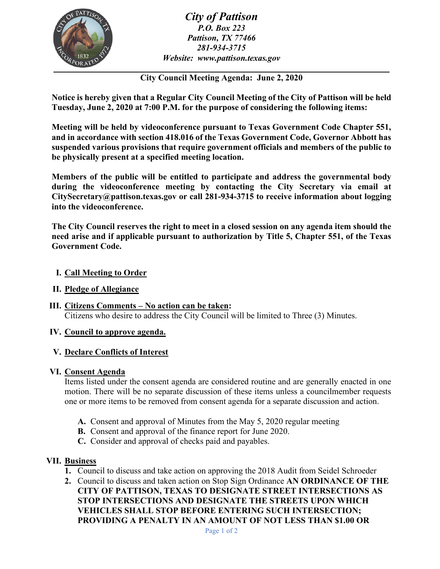

*City of Pattison P.O. Box 223 Pattison, TX 77466 281-934-3715 Website: www.pattison.texas.gov*

**City Council Meeting Agenda: June 2, 2020**

**Notice is hereby given that a Regular City Council Meeting of the City of Pattison will be held Tuesday, June 2, 2020 at 7:00 P.M. for the purpose of considering the following items:**

**Meeting will be held by videoconference pursuant to Texas Government Code Chapter 551, and in accordance with section 418.016 of the Texas Government Code, Governor Abbott has suspended various provisions that require government officials and members of the public to be physically present at a specified meeting location.** 

**Members of the public will be entitled to participate and address the governmental body during the videoconference meeting by contacting the City Secretary via email at CitySecretary@pattison.texas.gov or call 281-934-3715 to receive information about logging into the videoconference.**

**The City Council reserves the right to meet in a closed session on any agenda item should the need arise and if applicable pursuant to authorization by Title 5, Chapter 551, of the Texas Government Code.**

## **I. Call Meeting to Order**

- **II. Pledge of Allegiance**
- **III. Citizens Comments – No action can be taken:**  Citizens who desire to address the City Council will be limited to Three (3) Minutes.

## **IV. Council to approve agenda.**

## **V. Declare Conflicts of Interest**

## **VI. Consent Agenda**

Items listed under the consent agenda are considered routine and are generally enacted in one motion. There will be no separate discussion of these items unless a councilmember requests one or more items to be removed from consent agenda for a separate discussion and action.

- **A.** Consent and approval of Minutes from the May 5, 2020 regular meeting
- **B.** Consent and approval of the finance report for June 2020.
- **C.** Consider and approval of checks paid and payables.

## **VII. Business**

- **1.** Council to discuss and take action on approving the 2018 Audit from Seidel Schroeder
- **2.** Council to discuss and taken action on Stop Sign Ordinance **AN ORDINANCE OF THE CITY OF PATTISON, TEXAS TO DESIGNATE STREET INTERSECTIONS AS STOP INTERSECTIONS AND DESIGNATE THE STREETS UPON WHICH VEHICLES SHALL STOP BEFORE ENTERING SUCH INTERSECTION; PROVIDING A PENALTY IN AN AMOUNT OF NOT LESS THAN \$1.00 OR**